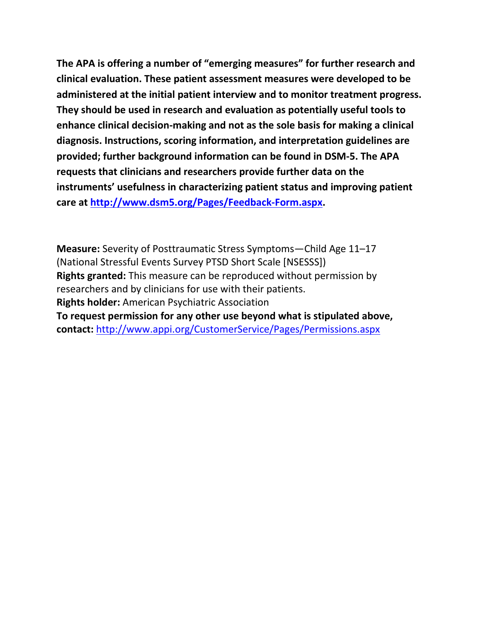**The APA is offering a number of "emerging measures" for further research and clinical evaluation. These patient assessment measures were developed to be administered at the initial patient interview and to monitor treatment progress. They should be used in research and evaluation as potentially useful tools to enhance clinical decision-making and not as the sole basis for making a clinical diagnosis. Instructions, scoring information, and interpretation guidelines are provided; further background information can be found in DSM-5. The APA requests that clinicians and researchers provide further data on the instruments' usefulness in characterizing patient status and improving patient care at [http://www.dsm5.org/Pages/Feedback-Form.aspx.](http://www.dsm5.org/Pages/Feedback-Form.aspx)**

**Measure:** Severity of Posttraumatic Stress Symptoms—Child Age 11–17 (National Stressful Events Survey PTSD Short Scale [NSESSS]) **Rights granted:** This measure can be reproduced without permission by researchers and by clinicians for use with their patients. **Rights holder:** American Psychiatric Association **To request permission for any other use beyond what is stipulated above, contact:** <http://www.appi.org/CustomerService/Pages/Permissions.aspx>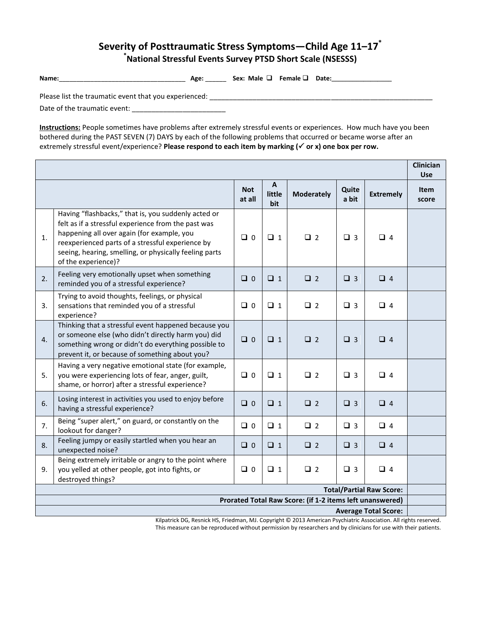## **Severity of Posttraumatic Stress Symptoms—Child Age 11–17\* \*National Stressful Events Survey PTSD Short Scale (NSESSS)**

| <b>Name</b> | Age | Male<br>Sex:<br>. . | Female $\square$ | Date: |
|-------------|-----|---------------------|------------------|-------|
|-------------|-----|---------------------|------------------|-------|

Please list the traumatic event that you experienced: \_\_\_\_\_\_\_\_\_\_\_\_\_\_\_\_\_\_\_\_\_\_\_\_\_\_\_\_\_\_\_\_\_\_\_\_\_\_\_\_\_\_\_\_\_\_\_\_\_\_\_\_\_\_\_\_\_

Date of the traumatic event: \_\_\_\_\_\_\_\_\_\_\_\_\_\_\_\_\_\_\_\_\_\_\_\_

**Instructions:** People sometimes have problems after extremely stressful events or experiences. How much have you been bothered during the PAST SEVEN (7) DAYS by each of the following problems that occurred or became worse after an extremely stressful event/experience? **Please respond to each item by marking (√ or x) one box per row.** 

|                                                                                                                 |                                                                                                                                                                                                                                                                                               | <b>Not</b><br>at all | A<br>little<br>bit | <b>Moderately</b> | Quite<br>a bit | <b>Extremely</b> | <b>Item</b><br>score |  |  |
|-----------------------------------------------------------------------------------------------------------------|-----------------------------------------------------------------------------------------------------------------------------------------------------------------------------------------------------------------------------------------------------------------------------------------------|----------------------|--------------------|-------------------|----------------|------------------|----------------------|--|--|
| 1.                                                                                                              | Having "flashbacks," that is, you suddenly acted or<br>felt as if a stressful experience from the past was<br>happening all over again (for example, you<br>reexperienced parts of a stressful experience by<br>seeing, hearing, smelling, or physically feeling parts<br>of the experience)? | $\Box$ 0             | $\Box$ 1           | $\Box$ 2          | $\Box$ 3       | $\Box$ 4         |                      |  |  |
| 2.                                                                                                              | Feeling very emotionally upset when something<br>reminded you of a stressful experience?                                                                                                                                                                                                      | $\Box$ 0             | $\Box$ 1           | $\Box$ 2          | $\Box$ 3       | $\Box$ 4         |                      |  |  |
| 3.                                                                                                              | Trying to avoid thoughts, feelings, or physical<br>sensations that reminded you of a stressful<br>experience?                                                                                                                                                                                 | $\Box$ 0             | $\Box$ 1           | $\Box$ 2          | $\Box$ 3       | $\Box$ 4         |                      |  |  |
| 4.                                                                                                              | Thinking that a stressful event happened because you<br>or someone else (who didn't directly harm you) did<br>something wrong or didn't do everything possible to<br>prevent it, or because of something about you?                                                                           | $\Box$ 0             | $\Box$ 1           | $\Box$ 2          | $\Box$ 3       | $\Box$ 4         |                      |  |  |
| 5.                                                                                                              | Having a very negative emotional state (for example,<br>you were experiencing lots of fear, anger, guilt,<br>shame, or horror) after a stressful experience?                                                                                                                                  | $\Box$ 0             | $\Box$ 1           | $\square$ 2       | $\Box$ 3       | $\Box$ 4         |                      |  |  |
| 6.                                                                                                              | Losing interest in activities you used to enjoy before<br>having a stressful experience?                                                                                                                                                                                                      | $\Box$ 0             | $\Box$ 1           | $\square$ 2       | $\Box$ 3       | $\Box$ 4         |                      |  |  |
| 7.                                                                                                              | Being "super alert," on guard, or constantly on the<br>lookout for danger?                                                                                                                                                                                                                    | $\Box$ 0             | $\Box$ 1           | $\Box$ 2          | $\Box$ 3       | $\Box$ 4         |                      |  |  |
| 8.                                                                                                              | Feeling jumpy or easily startled when you hear an<br>unexpected noise?                                                                                                                                                                                                                        | $\Box$ 0             | $\Box$ 1           | $\Box$ 2          | $\Box$ 3       | $\Box$ 4         |                      |  |  |
| 9.                                                                                                              | Being extremely irritable or angry to the point where<br>you yelled at other people, got into fights, or<br>destroyed things?                                                                                                                                                                 | $\Box$ 0             | $\Box$ 1           | $\Box$ 2          | $\Box$ 3       | $\Box$ 4         |                      |  |  |
| <b>Total/Partial Raw Score:</b>                                                                                 |                                                                                                                                                                                                                                                                                               |                      |                    |                   |                |                  |                      |  |  |
| Prorated Total Raw Score: (if 1-2 items left unanswered)<br><b>Average Total Score:</b>                         |                                                                                                                                                                                                                                                                                               |                      |                    |                   |                |                  |                      |  |  |
| Kilnatrick DG, Resnick HS, Friedman, MJ, Convright © 2013 American Psychiatric Association, All rights reserved |                                                                                                                                                                                                                                                                                               |                      |                    |                   |                |                  |                      |  |  |

ttrick DG, Resnick HS, Friedman, MJ. Copyright © 2013 American Psychiatric Association. All rights reserved. This measure can be reproduced without permission by researchers and by clinicians for use with their patients.